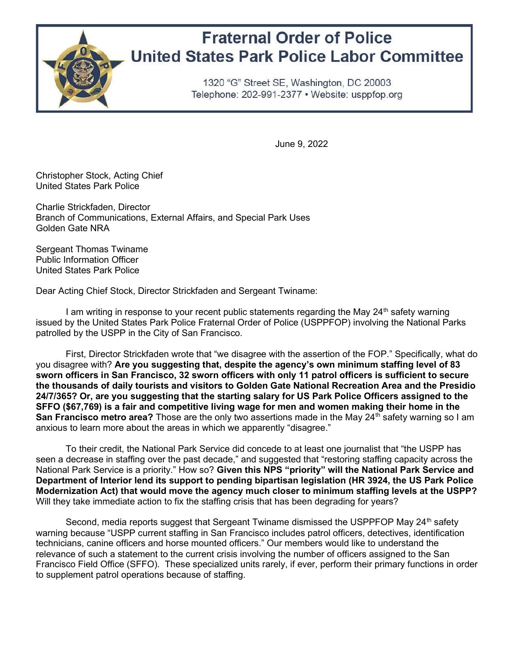

## **Fraternal Order of Police United States Park Police Labor Committee**

1320 "G" Street SE, Washington, DC 20003 Telephone: 202-991-2377 • Website: usppfop.org

June 9, 2022

Christopher Stock, Acting Chief United States Park Police

Charlie Strickfaden, Director Branch of Communications, External Affairs, and Special Park Uses Golden Gate NRA

Sergeant Thomas Twiname Public Information Officer United States Park Police

Dear Acting Chief Stock, Director Strickfaden and Sergeant Twiname:

I am writing in response to your recent public statements regarding the May  $24<sup>th</sup>$  safety warning issued by the United States Park Police Fraternal Order of Police (USPPFOP) involving the National Parks patrolled by the USPP in the City of San Francisco.

First, Director Strickfaden wrote that "we disagree with the assertion of the FOP." Specifically, what do you disagree with? Are you suggesting that, despite the agency's own minimum staffing level of 83 sworn officers in San Francisco, 32 sworn officers with only 11 patrol officers is sufficient to secure the thousands of daily tourists and visitors to Golden Gate National Recreation Area and the Presidio 24/7/365? Or, are you suggesting that the starting salary for US Park Police Officers assigned to the SFFO (\$67,769) is a fair and competitive living wage for men and women making their home in the San Francisco metro area? Those are the only two assertions made in the May 24<sup>th</sup> safety warning so I am anxious to learn more about the areas in which we apparently "disagree."

To their credit, the National Park Service did concede to at least one journalist that "the USPP has seen a decrease in staffing over the past decade," and suggested that "restoring staffing capacity across the National Park Service is a priority." How so? Given this NPS "priority" will the National Park Service and Department of Interior lend its support to pending bipartisan legislation (HR 3924, the US Park Police Modernization Act) that would move the agency much closer to minimum staffing levels at the USPP? Will they take immediate action to fix the staffing crisis that has been degrading for years?

Second, media reports suggest that Sergeant Twiname dismissed the USPPFOP May 24<sup>th</sup> safety warning because "USPP current staffing in San Francisco includes patrol officers, detectives, identification technicians, canine officers and horse mounted officers." Our members would like to understand the relevance of such a statement to the current crisis involving the number of officers assigned to the San Francisco Field Office (SFFO). These specialized units rarely, if ever, perform their primary functions in order to supplement patrol operations because of staffing.